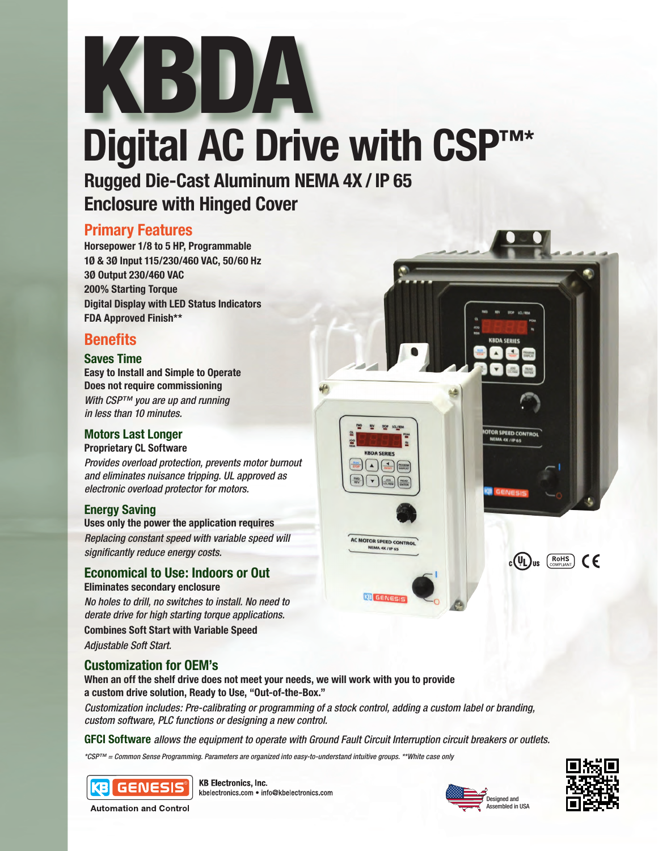# Digital AC Drive with CSP<sup>™\*</sup> KBDA

**Rugged Die-Cast Aluminum NEMA 4X / IP 65 Enclosure with Hinged Cover**

## **Primary Features**

**Horsepower 1/8 to 5 HP, Programmable 1Ø & 3Ø Input 115/230/460 VAC, 50/60 Hz 3Ø Output 230/460 VAC 200% Starting Torque Digital Display with LED Status Indicators FDA Approved Finish\*\***

# **Benefits**

## **Saves Time**

**Easy to Install and Simple to Operate Does not require commissioning** *With CSP™ you are up and running in less than 10 minutes.*

## **Motors Last Longer**

**Proprietary CL Software**

*Provides overload protection, prevents motor burnout and eliminates nuisance tripping. UL approved as electronic overload protector for motors.* 

## **Energy Saving**

**Uses only the power the application requires** *Replacing constant speed with variable speed will significantly reduce energy costs.*

## **Economical to Use: Indoors or Out**

**Eliminates secondary enclosure**

*No holes to drill, no switches to install. No need to derate drive for high starting torque applications.* **Combines Soft Start with Variable Speed** *Adjustable Soft Start.*

## **Customization for OEM's**

**When an off the shelf drive does not meet your needs, we will work with you to provide a custom drive solution, Ready to Use, "Out-of-the-Box."**

*Customization includes: Pre-calibrating or programming of a stock control, adding a custom label or branding, custom software, PLC functions or designing a new control.*

**GFCI Software** *allows the equipment to operate with Ground Fault Circuit Interruption circuit breakers or outlets.*

AC MOTOR SPEED CONTROL

**KB** GENE

*\*CSP™ = Common Sense Programming. Parameters are organized into easy-to-understand intuitive groups. \*\*White case only*



**KB Electronics, Inc.** kbelectronics.com . info@kbelectronics.com





embled in USA

**TOR SPEED CONTR**<br>NEMA 4X / IP 65

 $_{c}$ (VL) us  $\left(\overline{R_{\text{OHS}}}\right)$  (E

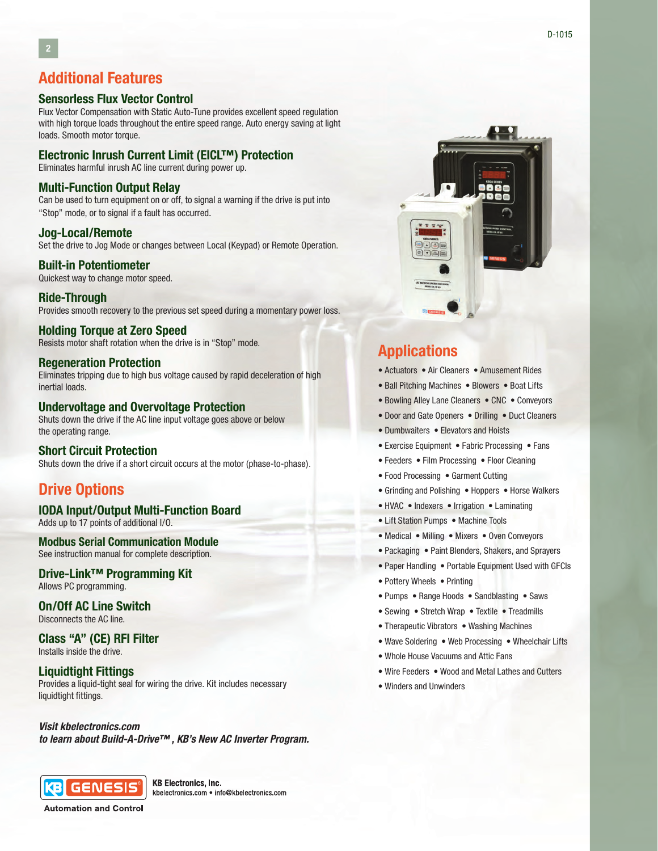## **Additional Features**

## **Sensorless Flux Vector Control**

Flux Vector Compensation with Static Auto-Tune provides excellent speed regulation with high torque loads throughout the entire speed range. Auto energy saving at light loads. Smooth motor torque.

## **Electronic Inrush Current Limit (EICL™) Protection**

Eliminates harmful inrush AC line current during power up.

## **Multi-Function Output Relay**

Can be used to turn equipment on or off, to signal a warning if the drive is put into "Stop" mode, or to signal if a fault has occurred.

#### **Jog-Local/Remote**

Set the drive to Jog Mode or changes between Local (Keypad) or Remote Operation.

## **Built-in Potentiometer**

Quickest way to change motor speed.

## **Ride-Through**

Provides smooth recovery to the previous set speed during a momentary power loss.

## **Holding Torque at Zero Speed**

Resists motor shaft rotation when the drive is in "Stop" mode.

## **Regeneration Protection**

Eliminates tripping due to high bus voltage caused by rapid deceleration of high inertial loads.

#### **Undervoltage and Overvoltage Protection**

Shuts down the drive if the AC line input voltage goes above or below the operating range.

## **Short Circuit Protection**

Shuts down the drive if a short circuit occurs at the motor (phase-to-phase).

## **Drive Options**

#### **IODA Input/Output Multi-Function Board**

Adds up to 17 points of additional I/O.

## **Modbus Serial Communication Module**

See instruction manual for complete description.

## **Drive-Link™ Programming Kit**

Allows PC programming.

#### **On/Off AC Line Switch** Disconnects the AC line.

#### **Class "A" (CE) RFI Filter** Installs inside the drive.

#### **Liquidtight Fittings**

Provides a liquid-tight seal for wiring the drive. Kit includes necessary liquidtight fittings.

### *Visit kbelectronics.com*

*to learn about Build-A-Drive™ , KB's New AC Inverter Program.*



**KB Electronics, Inc.** kbelectronics.com . info@kbelectronics.com

**Automation and Control** 



## **Applications**

- Actuators Air Cleaners Amusement Rides
- Ball Pitching Machines Blowers Boat Lifts
- Bowling Alley Lane Cleaners CNC Conveyors
- Door and Gate Openers Drilling Duct Cleaners
- Dumbwaiters Elevators and Hoists
- Exercise Equipment Fabric Processing Fans
- Feeders Film Processing Floor Cleaning
- Food Processing Garment Cutting
- Grinding and Polishing Hoppers Horse Walkers
- HVAC Indexers Irrigation Laminating
- Lift Station Pumps Machine Tools
- Medical Milling Mixers Oven Conveyors
- Packaging Paint Blenders, Shakers, and Sprayers
- Paper Handling Portable Equipment Used with GFCIs
- Pottery Wheels Printing
- Pumps Range Hoods Sandblasting Saws
- Sewing Stretch Wrap Textile Treadmills
- Therapeutic Vibrators Washing Machines
- Wave Soldering Web Processing Wheelchair Lifts
- Whole House Vacuums and Attic Fans
- Wire Feeders Wood and Metal Lathes and Cutters
- Winders and Unwinders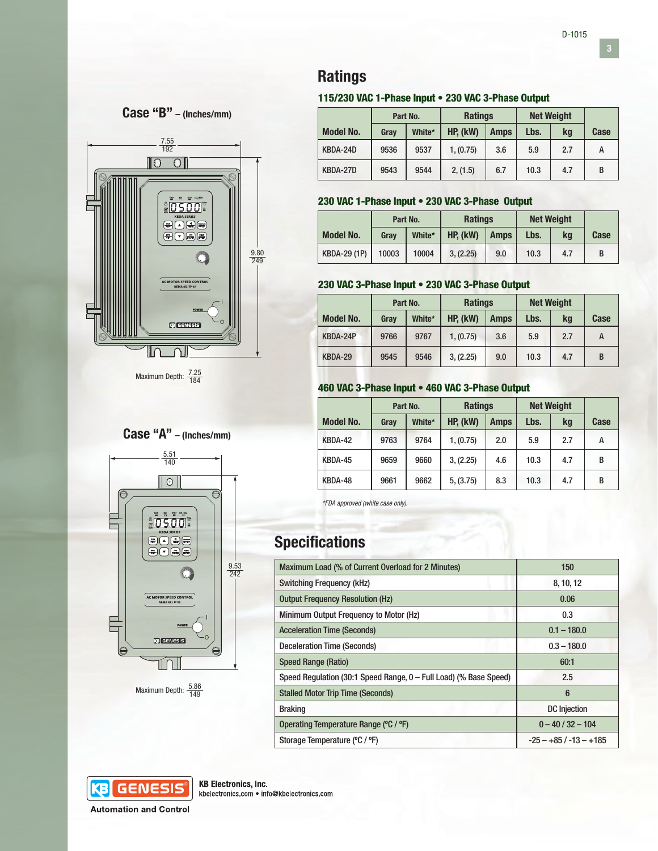**3**



## 115/230 VAC 1-Phase Input • 230 VAC 3-Phase Output

|                  | Part No. |        | <b>Ratings</b> |             | <b>Net Weight</b> |     |      |
|------------------|----------|--------|----------------|-------------|-------------------|-----|------|
| <b>Model No.</b> | Grav     | White* | HP, (kW)       | <b>Amps</b> | Lbs.              | ka  | Case |
| KBDA-24D         | 9536     | 9537   | 1, (0.75)      | 3.6         | 5.9               | 2.7 | А    |
| KBDA-27D         | 9543     | 9544   | 2, (1.5)       | 6.7         | 10.3              | 4.7 | B    |

## 230 VAC 1-Phase Input • 230 VAC 3-Phase Output

|                     | Part No. |        | <b>Ratings</b> |             | <b>Net Weight</b> |     |      |
|---------------------|----------|--------|----------------|-------------|-------------------|-----|------|
| <b>Model No.</b>    | Grav     | White* | HP, (kW)       | <b>Amps</b> | Lbs.              | ka  | Case |
| <b>KBDA-29 (1P)</b> | 10003    | 10004  | 3, (2.25)      | 9.0         | 10.3              | 4.7 |      |

## 230 VAC 3-Phase Input • 230 VAC 3-Phase Output

|                  | Part No. |        | <b>Ratings</b> |             | <b>Net Weight</b> |     |      |
|------------------|----------|--------|----------------|-------------|-------------------|-----|------|
| <b>Model No.</b> | Grav     | White* | HP. (kW)       | <b>Amps</b> | Lbs.              | ka  | Case |
| KBDA-24P         | 9766     | 9767   | 1, (0.75)      | 3.6         | 5.9               | 2.7 | A    |
| KBDA-29          | 9545     | 9546   | 3, (2.25)      | 9.0         | 10.3              | 4.7 | B    |

## 460 VAC 3-Phase Input • 460 VAC 3-Phase Output

|                  | Part No. |        | <b>Ratings</b> |             | <b>Net Weight</b> |     |      |
|------------------|----------|--------|----------------|-------------|-------------------|-----|------|
| <b>Model No.</b> | Gray     | White* | HP, (kW)       | <b>Amps</b> | Lbs.              | kg  | Case |
| KBDA-42          | 9763     | 9764   | 1, (0.75)      | 2.0         | 5.9               | 2.7 | А    |
| KBDA-45          | 9659     | 9660   | 3, (2.25)      | 4.6         | 10.3              | 4.7 | B    |
| KBDA-48          | 9661     | 9662   | 5, (3.75)      | 8.3         | 10.3              | 4.7 | B    |

*\*FDA approved (white case only).*

# **Specifications**

| Maximum Load (% of Current Overload for 2 Minutes)                | 150                     |  |  |
|-------------------------------------------------------------------|-------------------------|--|--|
| <b>Switching Frequency (kHz)</b>                                  | 8, 10, 12               |  |  |
| <b>Output Frequency Resolution (Hz)</b>                           | 0.06                    |  |  |
| Minimum Output Frequency to Motor (Hz)                            | 0.3                     |  |  |
| <b>Acceleration Time (Seconds)</b>                                | $0.1 - 180.0$           |  |  |
| Deceleration Time (Seconds)                                       | $0.3 - 180.0$           |  |  |
| <b>Speed Range (Ratio)</b>                                        | 60:1                    |  |  |
| Speed Regulation (30:1 Speed Range, 0 – Full Load) (% Base Speed) | 2.5                     |  |  |
| <b>Stalled Motor Trip Time (Seconds)</b>                          | 6                       |  |  |
| <b>Braking</b>                                                    | <b>DC</b> Injection     |  |  |
| Operating Temperature Range (°C / °F)                             | $0 - 40 / 32 - 104$     |  |  |
| Storage Temperature (°C / °F)                                     | $-25 - +85/ -13 - +185$ |  |  |



**Automation and Control** 



**Case "B" – (Inches/mm)**

Maximum Depth:  $\frac{7.25}{184}$ 

# **Case "A" – (Inches/mm)**



Maximum Depth:  $\frac{5.86}{149}$